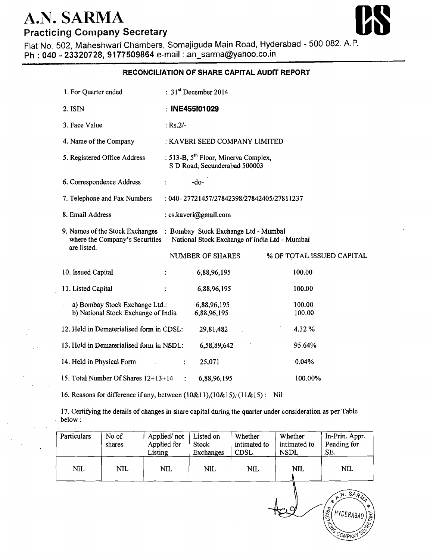## **A.N. SARMA Practicing Company Secretary**



Flat No. 502, Maheshwari Chambers, Somajiguda Main Road, Hyderabad - 500 082. A.P. Ph : **040** - **23320728,9177509864** e-mail : an-sarma@yahoo.co.in

## **RECONCILIATION OF SHARE CAPITAL AUDIT REPORT**

| 1. For Quarter ended                                                                                                                                                   | : $31st$ December 2014                                                            |                            |                           |  |  |
|------------------------------------------------------------------------------------------------------------------------------------------------------------------------|-----------------------------------------------------------------------------------|----------------------------|---------------------------|--|--|
| 2. ISIN                                                                                                                                                                | : INE455101029                                                                    |                            |                           |  |  |
| 3. Face Value                                                                                                                                                          | : $Rs.2/-$                                                                        |                            |                           |  |  |
| 4. Name of the Company                                                                                                                                                 | : KAVERI SEED COMPANY LIMITED                                                     |                            |                           |  |  |
| 5. Registered Office Address                                                                                                                                           | : 513-B, 5 <sup>th</sup> Floor, Minerva Complex,<br>S D Road, Secunderabad 500003 |                            |                           |  |  |
| 6. Correspondence Address                                                                                                                                              |                                                                                   | $-do-$                     |                           |  |  |
| 7. Telephone and Fax Numbers<br>: 040-27721457/27842398/27842405/27811237                                                                                              |                                                                                   |                            |                           |  |  |
| 8. Email Address<br>: cs.kaveri@gmail.com                                                                                                                              |                                                                                   |                            |                           |  |  |
| 9. Names of the Stock Exchanges : Bombay Stock Exchange Ltd - Mumbai<br>National Stock Exchange of India Ltd - Mumbai<br>where the Company's Securities<br>are listed. |                                                                                   |                            |                           |  |  |
|                                                                                                                                                                        |                                                                                   | NUMBER OF SHARES           | % OF TOTAL ISSUED CAPITAL |  |  |
| 10. Issued Capital                                                                                                                                                     |                                                                                   | 6,88,96,195                | 100.00                    |  |  |
| 11. Listed Capital                                                                                                                                                     |                                                                                   | 6,88,96,195                | 100.00                    |  |  |
| a) Bombay Stock Exchange Ltd.:<br>b) National Stock Exchange of India                                                                                                  |                                                                                   | 6,88,96,195<br>6,88,96,195 | 100.00<br>100.00          |  |  |
| 12. Held in Dematerialised form in CDSL:                                                                                                                               |                                                                                   | 29,81,482                  | 4.32 %                    |  |  |
| 13. Held in Dematerialised form in NSDL:                                                                                                                               |                                                                                   | 6,58,89,642                | 95.64%                    |  |  |
| 14. Held in Physical Form                                                                                                                                              | ÷                                                                                 | 25,071                     | 0.04%                     |  |  |
| 15. Total Number Of Shares 12+13+14                                                                                                                                    | $\ddot{\cdot}$                                                                    | 6,88,96,195                | 100.00%                   |  |  |

16. Reasons for difference if any, between (10&11),(10&15); (1 1&15) : Nil

17. Certifying the details of changes in share capital during the quarter under consideration as per Table below :

| Particulars | No of<br>shares | Applied/not<br>Applied for<br>Listing | Listed on<br>Stock<br>Exchanges | Whether<br>intimated to<br><b>CDSL</b> | Whether<br>intimated to<br>NSDL | In-Prin. Appr.<br>Pending for<br>SE.                                    |
|-------------|-----------------|---------------------------------------|---------------------------------|----------------------------------------|---------------------------------|-------------------------------------------------------------------------|
| <b>NIL</b>  | NIL             | <b>NIL</b>                            | <b>NIL</b>                      | <b>NIL</b>                             | <b>NIL</b>                      | <b>NIL</b>                                                              |
|             |                 |                                       |                                 |                                        | $\sim$                          | A.N. SARM<br>$\ast$<br>本<br>PRACTICAL<br>I HYDERABAD<br>$10\frac{E}{E}$ |